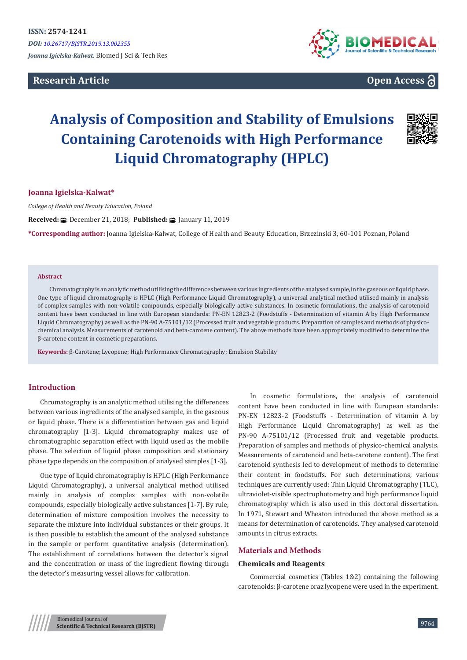# **Research Article**



# **Open Access**

# **Analysis of Composition and Stability of Emulsions Containing Carotenoids with High Performance Liquid Chromatography (HPLC)**



# **Joanna Igielska-Kalwat\***

*College of Health and Beauty Education, Poland*

**Received: : December 21, 2018; Published: ■: January 11, 2019** 

**\*Corresponding author:** Joanna Igielska-Kalwat, College of Health and Beauty Education, Brzezinski 3, 60-101 Poznan, Poland

#### **Abstract**

Chromatography is an analytic method utilising the differences between various ingredients of the analysed sample, in the gaseous or liquid phase. One type of liquid chromatography is HPLC (High Performance Liquid Chromatography), a universal analytical method utilised mainly in analysis of complex samples with non-volatile compounds, especially biologically active substances. In cosmetic formulations, the analysis of carotenoid content have been conducted in line with European standards: PN-EN 12823-2 (Foodstuffs - Determination of vitamin A by High Performance Liquid Chromatography) as well as the PN-90 A-75101/12 (Processed fruit and vegetable products. Preparation of samples and methods of physicochemical analysis. Measurements of carotenoid and beta-carotene content). The above methods have been appropriately modified to determine the β-carotene content in cosmetic preparations.

**Keywords:** β-Carotene; Lycopene; High Performance Chromatography; Emulsion Stability

#### **Introduction**

Chromatography is an analytic method utilising the differences between various ingredients of the analysed sample, in the gaseous or liquid phase. There is a differentiation between gas and liquid chromatography [1-3]. Liquid chromatography makes use of chromatographic separation effect with liquid used as the mobile phase. The selection of liquid phase composition and stationary phase type depends on the composition of analysed samples [1-3].

One type of liquid chromatography is HPLC (High Performance Liquid Chromatography), a universal analytical method utilised mainly in analysis of complex samples with non-volatile compounds, especially biologically active substances [1-7]. By rule, determination of mixture composition involves the necessity to separate the mixture into individual substances or their groups. It is then possible to establish the amount of the analysed substance in the sample or perform quantitative analysis (determination). The establishment of correlations between the detector's signal and the concentration or mass of the ingredient flowing through the detector's measuring vessel allows for calibration.

In cosmetic formulations, the analysis of carotenoid content have been conducted in line with European standards: PN-EN 12823-2 (Foodstuffs - Determination of vitamin A by High Performance Liquid Chromatography) as well as the PN-90 A-75101/12 (Processed fruit and vegetable products. Preparation of samples and methods of physico-chemical analysis. Measurements of carotenoid and beta-carotene content). The first carotenoid synthesis led to development of methods to determine their content in foodstuffs. For such determinations, various techniques are currently used: Thin Liquid Chromatography (TLC), ultraviolet-visible spectrophotometry and high performance liquid chromatography which is also used in this doctoral dissertation. In 1971, Stewart and Wheaton introduced the above method as a means for determination of carotenoids. They analysed carotenoid amounts in citrus extracts.

# **Materials and Methods**

#### **Chemicals and Reagents**

Commercial cosmetics (Tables 1&2) containing the following carotenoids: β-carotene oraz lycopene were used in the experiment.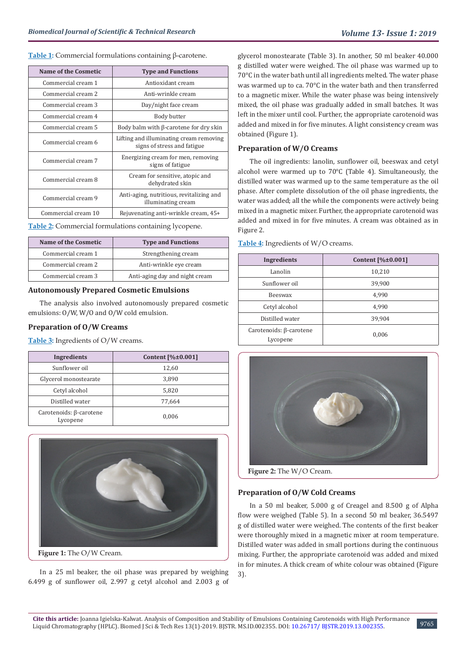#### **Table 1:** Commercial formulations containing β-carotene.

| Name of the Cosmetic | <b>Type and Functions</b>                                              |  |
|----------------------|------------------------------------------------------------------------|--|
| Commercial cream 1   | Antioxidant cream                                                      |  |
| Commercial cream 2   | Anti-wrinkle cream                                                     |  |
| Commercial cream 3   | Day/night face cream                                                   |  |
| Commercial cream 4   | Body butter                                                            |  |
| Commercial cream 5   | Body balm with $\beta$ -carotene for dry skin                          |  |
| Commercial cream 6   | Lifting and illuminating cream removing<br>signs of stress and fatigue |  |
| Commercial cream 7   | Energizing cream for men, removing<br>signs of fatigue                 |  |
| Commercial cream 8   | Cream for sensitive, atopic and<br>dehydrated skin                     |  |
| Commercial cream 9   | Anti-aging, nutritious, revitalizing and<br>illuminating cream         |  |
| Commercial cream 10  | Rejuvenating anti-wrinkle cream, 45+                                   |  |

**Table 2:** Commercial formulations containing lycopene.

| Name of the Cosmetic<br><b>Type and Functions</b> |                                |
|---------------------------------------------------|--------------------------------|
| Commercial cream 1                                | Strengthening cream            |
| Commercial cream 2                                | Anti-wrinkle eye cream         |
| Commercial cream 3                                | Anti-aging day and night cream |

# **Autonomously Prepared Cosmetic Emulsions**

The analysis also involved autonomously prepared cosmetic emulsions: O/W, W/O and O/W cold emulsion.

# **Preparation of O/W Creams**

**Table 3:** Ingredients of O/W creams.

| Ingredients                                | Content $[\% \pm 0.001]$ |
|--------------------------------------------|--------------------------|
| Sunflower oil                              | 12,60                    |
| Glycerol monostearate                      | 3,890                    |
| Cetyl alcohol                              | 5,820                    |
| Distilled water                            | 77,664                   |
| Carotenoids: $\beta$ -carotene<br>Lycopene | 0,006                    |



In a 25 ml beaker, the oil phase was prepared by weighing 6.499 g of sunflower oil, 2.997 g cetyl alcohol and 2.003 g of glycerol monostearate (Table 3). In another, 50 ml beaker 40.000 g distilled water were weighed. The oil phase was warmed up to 70°C in the water bath until all ingredients melted. The water phase was warmed up to ca. 70°C in the water bath and then transferred to a magnetic mixer. While the water phase was being intensively mixed, the oil phase was gradually added in small batches. It was left in the mixer until cool. Further, the appropriate carotenoid was added and mixed in for five minutes. A light consistency cream was obtained (Figure 1).

# **Preparation of W/O Creams**

The oil ingredients: lanolin, sunflower oil, beeswax and cetyl alcohol were warmed up to 70°C (Table 4). Simultaneously, the distilled water was warmed up to the same temperature as the oil phase. After complete dissolution of the oil phase ingredients, the water was added; all the while the components were actively being mixed in a magnetic mixer. Further, the appropriate carotenoid was added and mixed in for five minutes. A cream was obtained as in Figure 2.

| Ingredients                         | Content $[\% \pm 0.001]$ |
|-------------------------------------|--------------------------|
| Lanolin                             | 10,210                   |
| Sunflower oil                       | 39,900                   |
| <b>Beeswax</b>                      | 4,990                    |
| Cetyl alcohol                       | 4,990                    |
| Distilled water                     | 39,904                   |
| Carotenoids: β-carotene<br>Lycopene | 0,006                    |

#### **Table 4:** Ingredients of W/O creams.



**Figure 2:** The W/O Cream.

#### **Preparation of O/W Cold Creams**

In a 50 ml beaker, 5.000 g of Creagel and 8.500 g of Alpha flow were weighed (Table 5). In a second 50 ml beaker, 36.5497 g of distilled water were weighed. The contents of the first beaker were thoroughly mixed in a magnetic mixer at room temperature. Distilled water was added in small portions during the continuous mixing. Further, the appropriate carotenoid was added and mixed in for minutes. A thick cream of white colour was obtained (Figure 3).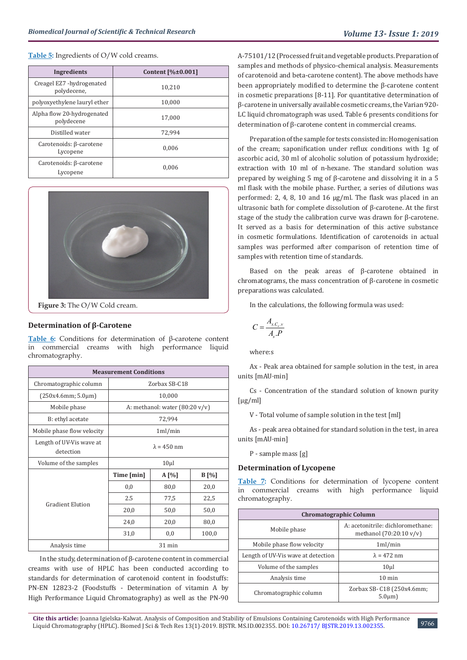**Table 5:** Ingredients of O/W cold creams.

| Ingredients                                | Content $[\% \pm 0.001]$ |
|--------------------------------------------|--------------------------|
| Creagel EZ7 -hydrogenated<br>polydecene,   | 10.210                   |
| polyoxyethylene lauryl ether               | 10,000                   |
| Alpha flow 20-hydrogenated<br>polydecene   | 17.000                   |
| Distilled water                            | 72.994                   |
| Carotenoids: $\beta$ -carotene<br>Lycopene | 0.006                    |
| Carotenoids: β-carotene<br>Lycopene        | 0.006                    |



**Figure 3:** The O/W Cold cream.

# **Determination of β-Carotene**

**Table 6:** Conditions for determination of β-carotene content in commercial creams with high performance liquid chromatography.

| <b>Measurement Conditions</b>         |                    |                                          |         |  |
|---------------------------------------|--------------------|------------------------------------------|---------|--|
| Chromatographic column                |                    | Zorbax SB-C18                            |         |  |
| (250x4.6mm; 5.0µm)                    |                    | 10,000                                   |         |  |
| Mobile phase                          |                    | A: methanol: water $(80:20 \text{ v/v})$ |         |  |
| B: ethyl acetate                      |                    | 72,994                                   |         |  |
| Mobile phase flow velocity            | 1ml/min            |                                          |         |  |
| Length of UV-Vis wave at<br>detection | $\lambda = 450$ nm |                                          |         |  |
| Volume of the samples                 |                    | $10\mu$                                  |         |  |
|                                       | Time [min]         | $A[\%]$                                  | $B[\%]$ |  |
|                                       | 0,0                | 80,0                                     | 20,0    |  |
| <b>Gradient Elution</b>               | 2.5                | 77,5                                     | 22,5    |  |
|                                       | 20,0               | 50,0                                     | 50,0    |  |
|                                       | 24,0               | 20,0                                     | 80,0    |  |
|                                       | 31,0               | 0,0                                      | 100,0   |  |
| Analysis time                         | $31$ min           |                                          |         |  |

In the study, determination of β-carotene content in commercial creams with use of HPLC has been conducted according to standards for determination of carotenoid content in foodstuffs: PN-EN 12823-2 (Foodstuffs - Determination of vitamin A by High Performance Liquid Chromatography) as well as the PN-90 A-75101/12 (Processed fruit and vegetable products. Preparation of samples and methods of physico-chemical analysis. Measurements of carotenoid and beta-carotene content). The above methods have been appropriately modified to determine the β-carotene content in cosmetic preparations [8-11]. For quantitative determination of β-carotene in universally available cosmetic creams, the Varian 920- LC liquid chromatograph was used. Table 6 presents conditions for determination of β-carotene content in commercial creams.

Preparation of the sample for tests consisted in: Homogenisation of the cream; saponification under reflux conditions with 1g of ascorbic acid, 30 ml of alcoholic solution of potassium hydroxide; extraction with 10 ml of n-hexane. The standard solution was prepared by weighing 5 mg of β-carotene and dissolving it in a 5 ml flask with the mobile phase. Further, a series of dilutions was performed: 2, 4, 8, 10 and 16 μg/ml. The flask was placed in an ultrasonic bath for complete dissolution of β-carotene. At the first stage of the study the calibration curve was drawn for β-carotene. It served as a basis for determination of this active substance in cosmetic formulations. Identification of carotenoids in actual samples was performed after comparison of retention time of samples with retention time of standards.

Based on the peak areas of β-carotene obtained in chromatograms, the mass concentration of β-carotene in cosmetic preparations was calculated.

In the calculations, the following formula was used:

$$
C = \frac{A_{x.C_s.v}}{A_s.P}
$$

where:s

Ax - Peak area obtained for sample solution in the test, in area units [mAU·min]

Cs - Concentration of the standard solution of known purity [μg/ml]

V - Total volume of sample solution in the test [ml]

As - peak area obtained for standard solution in the test, in area units [mAU·min]

P - sample mass [g]

#### **Determination of Lycopene**

**Table 7:** Conditions for determination of lycopene content in commercial creams with high performance liquid chromatography.

| <b>Chromatographic Column</b>      |                                                                        |  |  |
|------------------------------------|------------------------------------------------------------------------|--|--|
| Mobile phase                       | A: acetonitrile: dichloromethane:<br>methanol $(70:20:10 \text{ v/v})$ |  |  |
| Mobile phase flow velocity         | 1ml/min                                                                |  |  |
| Length of UV-Vis wave at detection | $\lambda = 472$ nm                                                     |  |  |
| Volume of the samples              | 10 <sub>µ</sub>                                                        |  |  |
| Analysis time                      | $10 \text{ min}$                                                       |  |  |
| Chromatographic column             | Zorbax SB- C18 (250x4.6mm;<br>$5.0 \mu m$                              |  |  |

**Cite this article:** Joanna Igielska-Kalwat. Analysis of Composition and Stability of Emulsions Containing Carotenoids with High Performance Liquid Chromatography (HPLC). Biomed J Sci & Tech Res 13(1)-2019. BJSTR. MS.ID.002355. DOI: [10.26717/ BJSTR.2019.13.002355](http://dx.doi.org/10.26717/BJSTR.2019.13.002355). <sup>9766</sup>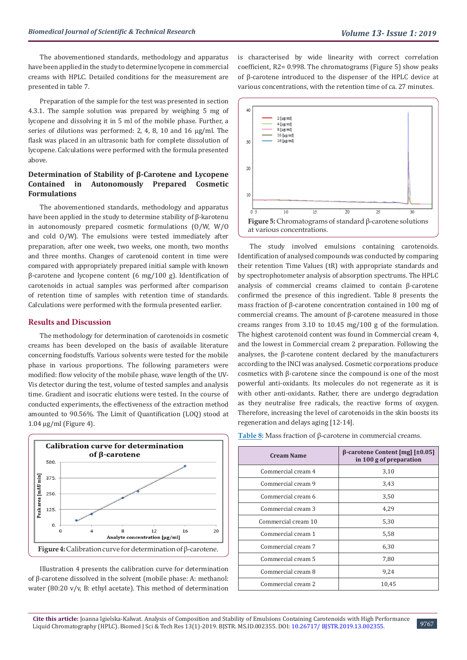The abovementioned standards, methodology and apparatus have been applied in the study to determine lycopene in commercial creams with HPLC. Detailed conditions for the measurement are presented in table 7.

Preparation of the sample for the test was presented in section 4.3.1. The sample solution was prepared by weighing 5 mg of lycopene and dissolving it in 5 ml of the mobile phase. Further, a series of dilutions was performed: 2, 4, 8, 10 and 16 μg/ml. The flask was placed in an ultrasonic bath for complete dissolution of lycopene. Calculations were performed with the formula presented above.

# **Determination of Stability of β-Carotene and Lycopene Contained in Autonomously Prepared Cosmetic Formulations**

The abovementioned standards, methodology and apparatus have been applied in the study to determine stability of β-karotenu in autonomously prepared cosmetic formulations (O/W, W/O and cold O/W). The emulsions were tested immediately after preparation, after one week, two weeks, one month, two months and three months. Changes of carotenoid content in time were compared with appropriately prepared initial sample with known β-carotene and lycopene content (6 mg/100 g). Identification of carotenoids in actual samples was performed after comparison of retention time of samples with retention time of standards. Calculations were performed with the formula presented earlier.

# **Results and Discussion**

The methodology for determination of carotenoids in cosmetic creams has been developed on the basis of available literature concerning foodstuffs. Various solvents were tested for the mobile phase in various proportions. The following parameters were modified: flow velocity of the mobile phase, wave length of the UV-Vis detector during the test, volume of tested samples and analysis time. Gradient and isocratic elutions were tested. In the course of conducted experiments, the effectiveness of the extraction method amounted to 90.56%. The Limit of Quantification (LOQ) stood at 1.04 µg/ml (Figure 4).



Illustration 4 presents the calibration curve for determination of β-carotene dissolved in the solvent (mobile phase: A: methanol: water (80:20 v/v, B: ethyl acetate). This method of determination

is characterised by wide linearity with correct correlation coefficient, R2= 0.998. The chromatograms (Figure 5) show peaks of β-carotene introduced to the dispenser of the HPLC device at various concentrations, with the retention time of ca. 27 minutes.



The study involved emulsions containing carotenoids. Identification of analysed compounds was conducted by comparing their retention Time Values (tR) with appropriate standards and by spectrophotometer analysis of absorption spectrums. The HPLC analysis of commercial creams claimed to contain β-carotene confirmed the presence of this ingredient. Table 8 presents the mass fraction of β-carotene concentration contained in 100 mg of commercial creams. The amount of β-carotene measured in those creams ranges from 3.10 to 10.45 mg/100 g of the formulation. The highest carotenoid content was found in Commercial cream 4, and the lowest in Commercial cream 2 preparation. Following the analyses, the β-carotene content declared by the manufacturers according to the INCI was analysed. Cosmetic corporations produce cosmetics with β-carotene since the compound is one of the most powerful anti-oxidants. Its molecules do not regenerate as it is with other anti-oxidants. Rather, there are undergo degradation as they neutralise free radicals, the reactive forms of oxygen. Therefore, increasing the level of carotenoids in the skin boosts its regeneration and delays aging [12-14].

**Table 8:** Mass fraction of β-carotene in commercial creams.

| <b>Cream Name</b>   | $\beta$ -carotene Content [mg] [ $\pm 0.05$ ]<br>in 100 g of preparation |  |
|---------------------|--------------------------------------------------------------------------|--|
| Commercial cream 4  | 3,10                                                                     |  |
| Commercial cream 9  | 3,43                                                                     |  |
| Commercial cream 6  | 3,50                                                                     |  |
| Commercial cream 3  | 4,29                                                                     |  |
| Commercial cream 10 | 5,30                                                                     |  |
| Commercial cream 1  | 5,58                                                                     |  |
| Commercial cream 7  | 6,30                                                                     |  |
| Commercial cream 5  | 7,80                                                                     |  |
| Commercial cream 8  | 9,24                                                                     |  |
| Commercial cream 2  | 10,45                                                                    |  |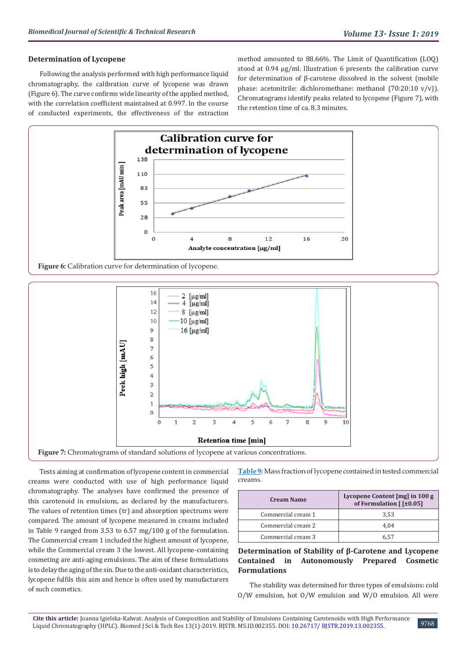#### **Determination of Lycopene**

Following the analysis performed with high performance liquid chromatography, the calibration curve of lycopene was drawn (Figure 6). The curve confirms wide linearity of the applied method, with the correlation coefficient maintained at 0.997. In the course of conducted experiments, the effectiveness of the extraction method amounted to 88.66%. The Limit of Quantification (LOQ) stood at 0.94 µg/ml. Illustration 6 presents the calibration curve for determination of β-carotene dissolved in the solvent (mobile phase: acetonitrile: dichloromethane: methanol (70:20:10 v/v)). Chromatograms identify peaks related to lycopene (Figure 7), with the retention time of ca. 8.3 minutes.





Tests aiming at confirmation of lycopene content in commercial creams were conducted with use of high performance liquid chromatography. The analyses have confirmed the presence of this carotenoid in emulsions, as declared by the manufacturers. The values of retention times (tr) and absorption spectrums were compared. The amount of lycopene measured in creams included in Table 9 ranged from 3.53 to 6.57 mg/100 g of the formulation. The Commercial cream 1 included the highest amount of lycopene, while the Commercial cream 3 the lowest. All lycopene-containing cosmeting are anti-aging emulsions. The aim of these formulations is to delay the aging of the sin. Due to the anti-oxidant characteristics, lycopene fulfils this aim and hence is often used by manufacturers of such cosmetics.

**Table 9:** Mass fraction of lycopene contained in tested commercial creams.

| <b>Cream Name</b>  | Lycopene Content [mg] in 100 g<br>of Formulation $[$ [ $\pm 0.05]$ ] |  |
|--------------------|----------------------------------------------------------------------|--|
| Commercial cream 1 | 3.53                                                                 |  |
| Commercial cream 2 | 4.04                                                                 |  |
| Commercial cream 3 | 6 57                                                                 |  |

# **Determination of Stability of β-Carotene and Lycopene Contained in Autonomously Prepared Cosmetic Formulations**

The stability was determined for three types of emulsions: cold O/W emulsion, hot O/W emulsion and W/O emulsion. All were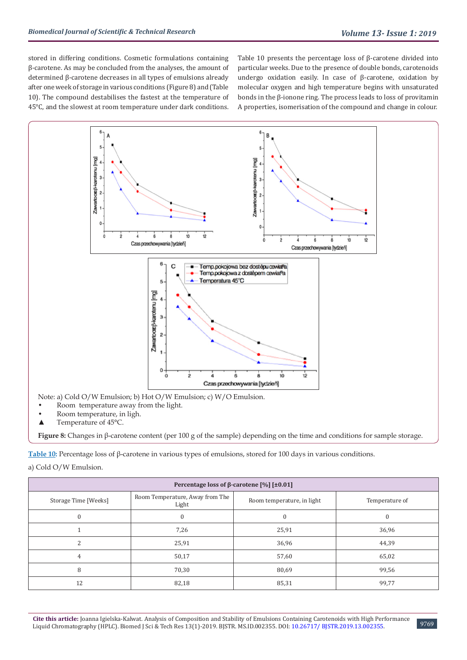stored in differing conditions. Cosmetic formulations containing β-carotene. As may be concluded from the analyses, the amount of determined β-carotene decreases in all types of emulsions already after one week of storage in various conditions (Figure 8) and (Table 10). The compound destabilises the fastest at the temperature of 45°C, and the slowest at room temperature under dark conditions.

Table 10 presents the percentage loss of β-carotene divided into particular weeks. Due to the presence of double bonds, carotenoids undergo oxidation easily. In case of β-carotene, oxidation by molecular oxygen and high temperature begins with unsaturated bonds in the β-ionone ring. The process leads to loss of provitamin A properties, isomerisation of the compound and change in colour.



- Room temperature, in ligh.
- ▲ Temperature of 45°C.

**Figure 8:** Changes in β-carotene content (per 100 g of the sample) depending on the time and conditions for sample storage.

**Table 10:** Percentage loss of β-carotene in various types of emulsions, stored for 100 days in various conditions.

a) Cold O/W Emulsion.

| Percentage loss of $\beta$ -carotene [%] [±0.01] |                                          |                            |                |  |
|--------------------------------------------------|------------------------------------------|----------------------------|----------------|--|
| Storage Time [Weeks]                             | Room Temperature, Away from The<br>Light | Room temperature, in light | Temperature of |  |
| $\Omega$                                         | $\Omega$                                 | $\Omega$                   | $\Omega$       |  |
|                                                  | 7,26                                     | 25,91                      | 36,96          |  |
|                                                  | 25,91                                    | 36,96                      | 44,39          |  |
| 4                                                | 50,17                                    | 57,60                      | 65,02          |  |
| 8                                                | 70,30                                    | 80,69                      | 99,56          |  |
| 12                                               | 82,18                                    | 85,31                      | 99,77          |  |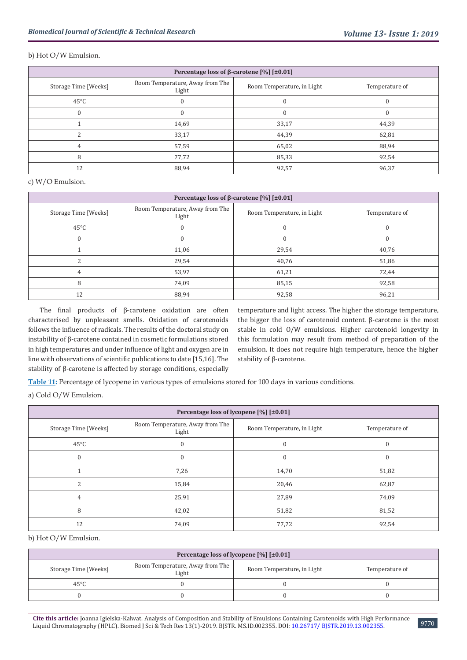# b) Hot O/W Emulsion.

| Percentage loss of $\beta$ -carotene [%] [±0.01] |                                          |                            |                |  |
|--------------------------------------------------|------------------------------------------|----------------------------|----------------|--|
| Storage Time [Weeks]                             | Room Temperature, Away from The<br>Light | Room Temperature, in Light | Temperature of |  |
| $45^{\circ}$ C                                   |                                          |                            |                |  |
| 0                                                |                                          |                            | 0              |  |
|                                                  | 14,69                                    | 33,17                      | 44,39          |  |
|                                                  | 33,17                                    | 44,39                      | 62,81          |  |
|                                                  | 57,59                                    | 65,02                      | 88,94          |  |
| R                                                | 77,72                                    | 85,33                      | 92,54          |  |
| 12                                               | 88,94                                    | 92,57                      | 96,37          |  |

# c) W/O Emulsion.

| Percentage loss of $\beta$ -carotene [%] [±0.01] |                                          |                            |                |  |
|--------------------------------------------------|------------------------------------------|----------------------------|----------------|--|
| Storage Time [Weeks]                             | Room Temperature, Away from The<br>Light | Room Temperature, in Light | Temperature of |  |
| $45^{\circ}$ C                                   | U                                        |                            |                |  |
|                                                  |                                          |                            |                |  |
|                                                  | 11,06                                    | 29,54                      | 40,76          |  |
|                                                  | 29,54                                    | 40,76                      | 51,86          |  |
|                                                  | 53,97                                    | 61,21                      | 72,44          |  |
|                                                  | 74,09                                    | 85,15                      | 92,58          |  |
| 12                                               | 88,94                                    | 92,58                      | 96,21          |  |

The final products of β-carotene oxidation are often characterised by unpleasant smells. Oxidation of carotenoids follows the influence of radicals. The results of the doctoral study on instability of β-carotene contained in cosmetic formulations stored in high temperatures and under influence of light and oxygen are in line with observations of scientific publications to date [15,16]. The stability of β-carotene is affected by storage conditions, especially

temperature and light access. The higher the storage temperature, the bigger the loss of carotenoid content. β-carotene is the most stable in cold O/W emulsions. Higher carotenoid longevity in this formulation may result from method of preparation of the emulsion. It does not require high temperature, hence the higher stability of β-carotene.

**Table 11:** Percentage of lycopene in various types of emulsions stored for 100 days in various conditions.

# a) Cold O/W Emulsion.

| Percentage loss of lycopene [%] [±0.01] |                                          |                            |                |  |  |
|-----------------------------------------|------------------------------------------|----------------------------|----------------|--|--|
| Storage Time [Weeks]                    | Room Temperature, Away from The<br>Light | Room Temperature, in Light | Temperature of |  |  |
| $45^{\circ}$ C                          | 0                                        | $\Omega$                   | $\Omega$       |  |  |
| $\Omega$                                |                                          | $\Omega$                   | $\Omega$       |  |  |
|                                         | 7,26                                     | 14,70                      | 51,82          |  |  |
| $\overline{\mathcal{L}}$                | 15,84                                    | 20,46                      | 62,87          |  |  |
| $\overline{4}$                          | 25,91                                    | 27,89                      | 74,09          |  |  |
| 8                                       | 42,02                                    | 51,82                      | 81,52          |  |  |
| 12                                      | 74,09                                    | 77,72                      | 92,54          |  |  |

b) Hot O/W Emulsion.

| Percentage loss of lycopene $[\%]$ [ $\pm 0.01$ ] |                                          |                            |                |  |  |
|---------------------------------------------------|------------------------------------------|----------------------------|----------------|--|--|
| Storage Time [Weeks]                              | Room Temperature, Away from The<br>Light | Room Temperature, in Light | Temperature of |  |  |
| $45^{\circ}$ C                                    |                                          |                            |                |  |  |
|                                                   |                                          |                            |                |  |  |

**Cite this article:** Joanna Igielska-Kalwat. Analysis of Composition and Stability of Emulsions Containing Carotenoids with High Performance Liquid Chromatography (HPLC). Biomed J Sci & Tech Res 13(1)-2019. BJSTR. MS.ID.002355. DOI: [10.26717/ BJSTR.2019.13.002355](http://dx.doi.org/10.26717/BJSTR.2019.13.002355).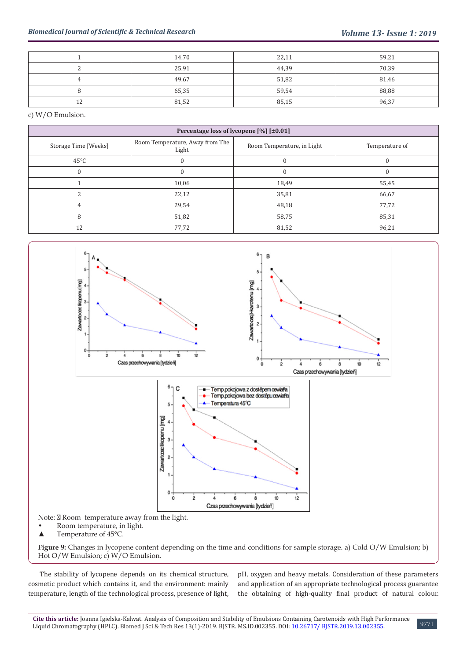|    | 14,70 | 22,11 | 59,21 |
|----|-------|-------|-------|
|    | 25,91 | 44,39 | 70,39 |
|    | 49,67 | 51,82 | 81,46 |
|    | 65,35 | 59,54 | 88,88 |
| 12 | 81,52 | 85,15 | 96,37 |

c) W/O Emulsion.

| Percentage loss of lycopene $[\%]$ [ $\pm 0.01$ ] |                                          |                            |                |  |  |
|---------------------------------------------------|------------------------------------------|----------------------------|----------------|--|--|
| Storage Time [Weeks]                              | Room Temperature, Away from The<br>Light | Room Temperature, in Light | Temperature of |  |  |
| $45^{\circ}$ C                                    | $\Omega$                                 | $\Omega$                   |                |  |  |
|                                                   | 0                                        | $\Omega$                   |                |  |  |
|                                                   | 10,06                                    | 18,49                      | 55,45          |  |  |
|                                                   | 22,12                                    | 35,81                      | 66,67          |  |  |
|                                                   | 29,54                                    | 48,18                      | 77,72          |  |  |
| 8                                                 | 51,82                                    | 58,75                      | 85,31          |  |  |
| 12                                                | 77,72                                    | 81,52                      | 96,21          |  |  |



**Figure 9:** Changes in lycopene content depending on the time and conditions for sample storage. a) Cold O/W Emulsion; b) Hot O/W Emulsion; c) W/O Emulsion.

The stability of lycopene depends on its chemical structure, cosmetic product which contains it, and the environment: mainly temperature, length of the technological process, presence of light,

pH, oxygen and heavy metals. Consideration of these parameters and application of an appropriate technological process guarantee the obtaining of high-quality final product of natural colour.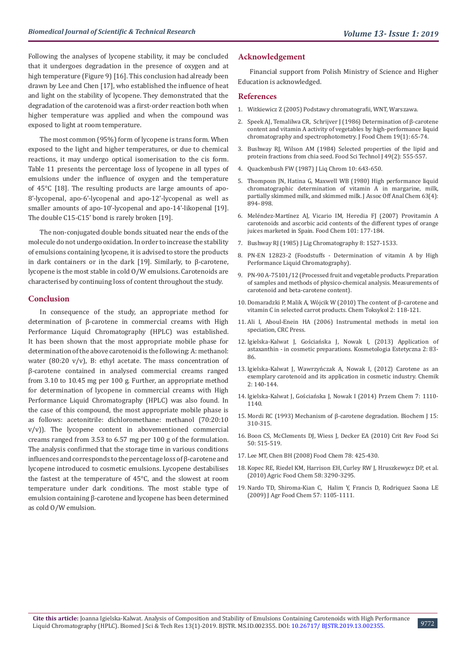Following the analyses of lycopene stability, it may be concluded that it undergoes degradation in the presence of oxygen and at high temperature (Figure 9) [16]. This conclusion had already been drawn by Lee and Chen [17], who established the influence of heat and light on the stability of lycopene. They demonstrated that the degradation of the carotenoid was a first-order reaction both when higher temperature was applied and when the compound was exposed to light at room temperature.

The most common (95%) form of lycopene is trans form. When exposed to the light and higher temperatures, or due to chemical reactions, it may undergo optical isomerisation to the cis form. Table 11 presents the percentage loss of lycopene in all types of emulsions under the influence of oxygen and the temperature of 45°C [18]. The resulting products are large amounts of apo-8'-lycopenal, apo-6'-lycopenal and apo-12'-lycopenal as well as smaller amounts of apo-10'-lycopenal and apo-14'-likopenal [19]. The double C15-C15' bond is rarely broken [19].

The non-conjugated double bonds situated near the ends of the molecule do not undergo oxidation. In order to increase the stability of emulsions containing lycopene, it is advised to store the products in dark containers or in the dark [19]. Similarly, to β-carotene, lycopene is the most stable in cold O/W emulsions. Carotenoids are characterised by continuing loss of content throughout the study.

#### **Conclusion**

In consequence of the study, an appropriate method for determination of β-carotene in commercial creams with High Performance Liquid Chromatography (HPLC) was established. It has been shown that the most appropriate mobile phase for determination of the above carotenoid is the following: A: methanol: water (80:20 v/v), B: ethyl acetate. The mass concentration of β-carotene contained in analysed commercial creams ranged from 3.10 to 10.45 mg per 100 g. Further, an appropriate method for determination of lycopene in commercial creams with High Performance Liquid Chromatography (HPLC) was also found. In the case of this compound, the most appropriate mobile phase is as follows: acetonitrile: dichloromethane: methanol (70:20:10 v/v)). The lycopene content in abovementioned commercial creams ranged from 3.53 to 6.57 mg per 100 g of the formulation. The analysis confirmed that the storage time in various conditions influences and corresponds to the percentage loss of β-carotene and lycopene introduced to cosmetic emulsions. Lycopene destabilises the fastest at the temperature of 45°C, and the slowest at room temperature under dark conditions. The most stable type of emulsion containing β-carotene and lycopene has been determined as cold O/W emulsion.

# **Acknowledgement**

Financial support from Polish Ministry of Science and Higher Education is acknowledged.

#### **References**

- 1. Witkiewicz Z (2005) Podstawy chromatografii, WNT, Warszawa.
- 2. [Speek AJ, Temalilwa CR, Schrijver J \(1986\) Determination of β-carotene](https://www.sciencedirect.com/science/article/pii/0308814686901287) [content and vitamin A activity of vegetables by high-performance liquid](https://www.sciencedirect.com/science/article/pii/0308814686901287) [chromatography and spectrophotometry. J Food Chem 19\(1\): 65-74.](https://www.sciencedirect.com/science/article/pii/0308814686901287)
- 3. [Bushway RJ, Wilson AM \(1984\) Selected properties of the lipid and](https://onlinelibrary.wiley.com/doi/abs/10.1111/j.1365-2621.1984.tb12466.x) [protein fractions from chia seed. Food Sci Technol J 49\(2\): 555-557.](https://onlinelibrary.wiley.com/doi/abs/10.1111/j.1365-2621.1984.tb12466.x)
- 4. Quackenbush FW (1987) J Liq Chrom 10: 643-650.
- 5. [Thomposn JN, Hatina G, Maxwell WB \(1980\) High performance liquid](https://www.ncbi.nlm.nih.gov/pubmed/7400091) [chromatographic determination of vitamin A in margarine, milk,](https://www.ncbi.nlm.nih.gov/pubmed/7400091) [partially skimmed milk, and skimmed milk. J Assoc Off Anal Chem 63\(4\):](https://www.ncbi.nlm.nih.gov/pubmed/7400091) [894- 898.](https://www.ncbi.nlm.nih.gov/pubmed/7400091)
- 6. [Meléndez-Martínez AJ, Vicario IM, Heredia FJ \(2007\) Provitamin A](https://www.scirp.org/(S(351jmbntvnsjt1aadkposzje))/reference/ReferencesPapers.aspx?ReferenceID=1131162) [carotenoids and ascorbic acid contents of the different types of orange](https://www.scirp.org/(S(351jmbntvnsjt1aadkposzje))/reference/ReferencesPapers.aspx?ReferenceID=1131162) [juices marketed in Spain. Food Chem 101: 177-184.](https://www.scirp.org/(S(351jmbntvnsjt1aadkposzje))/reference/ReferencesPapers.aspx?ReferenceID=1131162)
- 7. Bushway RJ (1985) J Lig Chromatography 8: 1527-1533.
- 8. PN-EN 12823-2 (Foodstuffs Determination of vitamin A by High Performance Liquid Chromatography).
- 9. PN-90 A-75101/12 (Processed fruit and vegetable products. Preparation of samples and methods of physico-chemical analysis. Measurements of carotenoid and beta-carotene content).
- 10. [Domaradzki P, Malik A, Wójcik W \(2010\) The content of β-carotene and](http://ptfarm.pl/en/wydawnictwa/czasopisma/bromatologia-i-chemia-toksykologiczna/117/-/13319) [vitamin C in selected carrot products. Chem Toksykol 2: 118-121.](http://ptfarm.pl/en/wydawnictwa/czasopisma/bromatologia-i-chemia-toksykologiczna/117/-/13319)
- 11. Ali I, Aboul-Enein HA (2006) Instrumental methods in metal ion speciation, CRC Press.
- 12. [Igielska-Kalwat J, Gościańska J, Nowak I, \(2013\) Application of](https://www.kosmetologiaestetyczna.com/?s=Igielska-Kalwat+J%2C+Go%C5%9Bcia%C5%84ska+J%2C+Nowak+I) [astaxanthin - in cosmetic preparations. Kosmetologia Estetyczna 2: 83-](https://www.kosmetologiaestetyczna.com/?s=Igielska-Kalwat+J%2C+Go%C5%9Bcia%C5%84ska+J%2C+Nowak+I) [86.](https://www.kosmetologiaestetyczna.com/?s=Igielska-Kalwat+J%2C+Go%C5%9Bcia%C5%84ska+J%2C+Nowak+I)
- 13. [Igielska-Kalwat J, Wawrzyńczak A, Nowak I, \(2012\) Carotene as an](http://www.chemikinternational.com/?s=Igielska-Kalwat+J%2C+) [exemplary carotenoid and its application in cosmetic industry. Chemik](http://www.chemikinternational.com/?s=Igielska-Kalwat+J%2C+) [2: 140-144.](http://www.chemikinternational.com/?s=Igielska-Kalwat+J%2C+)
- 14. Igielska-Kalwat J, Gościańska J, Nowak I (2014) Przem Chem 7: 1110- 1140.
- 15. [Mordi RC \(1993\) Mechanism of β-carotene degradation. Biochem J 15:](http://www.biochemj.org/search/Mordi%252BRC%252B) [310-315.](http://www.biochemj.org/search/Mordi%252BRC%252B)
- 16. Boon CS, McClements DJ, Wiess J, Decker EA (2010) Crit Rev Food Sci 50: 515-519.
- 17. Lee MT, Chen BH (2008) Food Chem 78: 425-430.
- 18. Kopec RE, Riedel KM, Harrison EH, Curley RW J, Hruszkewycz DP, et al. (2010) Agric Food Chem 58: 3290-3295.
- 19. Nardo TD, Shiroma-Kian C, Halim Y, Francis D, Rodriquez Saona LE (2009) J Agr Food Chem 57: 1105-1111.